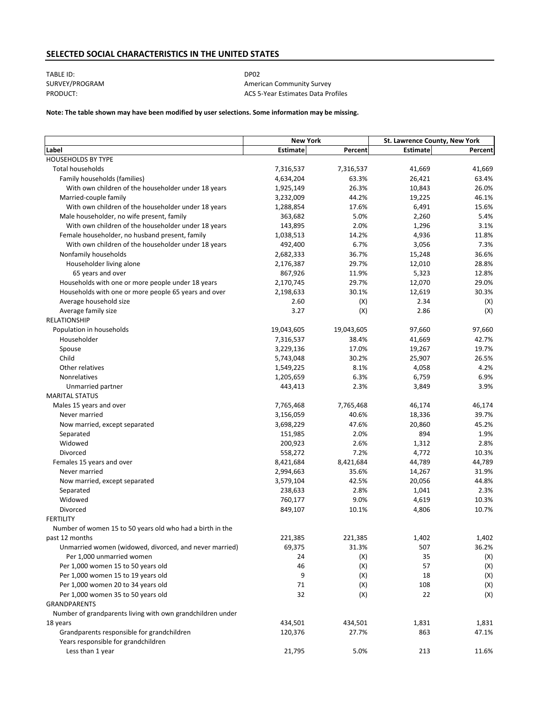## **SELECTED SOCIAL CHARACTERISTICS IN THE UNITED STATES**

TABLE ID: DP02

SURVEY/PROGRAM **American Community Survey** PRODUCT: PRODUCT: ACS 5-Year Estimates Data Profiles

### **Note: The table shown may have been modified by user selections. Some information may be missing.**

|                                                            | <b>New York</b> |            | St. Lawrence County, New York |         |
|------------------------------------------------------------|-----------------|------------|-------------------------------|---------|
| Label                                                      | Estimate        | Percent    | <b>Estimate</b>               | Percent |
| <b>HOUSEHOLDS BY TYPE</b>                                  |                 |            |                               |         |
| <b>Total households</b>                                    | 7,316,537       | 7,316,537  | 41,669                        | 41,669  |
| Family households (families)                               | 4,634,204       | 63.3%      | 26,421                        | 63.4%   |
| With own children of the householder under 18 years        | 1,925,149       | 26.3%      | 10,843                        | 26.0%   |
| Married-couple family                                      | 3,232,009       | 44.2%      | 19,225                        | 46.1%   |
| With own children of the householder under 18 years        | 1,288,854       | 17.6%      | 6,491                         | 15.6%   |
| Male householder, no wife present, family                  | 363,682         | 5.0%       | 2,260                         | 5.4%    |
| With own children of the householder under 18 years        | 143,895         | 2.0%       | 1,296                         | 3.1%    |
| Female householder, no husband present, family             | 1,038,513       | 14.2%      | 4,936                         | 11.8%   |
| With own children of the householder under 18 years        | 492,400         | 6.7%       | 3,056                         | 7.3%    |
| Nonfamily households                                       | 2,682,333       | 36.7%      | 15,248                        | 36.6%   |
| Householder living alone                                   | 2,176,387       | 29.7%      | 12,010                        | 28.8%   |
| 65 years and over                                          | 867,926         | 11.9%      | 5,323                         | 12.8%   |
| Households with one or more people under 18 years          | 2,170,745       | 29.7%      | 12,070                        | 29.0%   |
| Households with one or more people 65 years and over       | 2,198,633       | 30.1%      | 12,619                        | 30.3%   |
| Average household size                                     | 2.60            | (X)        | 2.34                          | (X)     |
| Average family size                                        | 3.27            | (X)        | 2.86                          | (X)     |
| <b>RELATIONSHIP</b>                                        |                 |            |                               |         |
| Population in households                                   | 19,043,605      | 19,043,605 | 97,660                        | 97,660  |
| Householder                                                | 7,316,537       | 38.4%      | 41,669                        | 42.7%   |
| Spouse                                                     | 3,229,136       | 17.0%      | 19,267                        | 19.7%   |
| Child                                                      | 5,743,048       | 30.2%      | 25,907                        | 26.5%   |
| Other relatives                                            | 1,549,225       | 8.1%       | 4,058                         | 4.2%    |
| Nonrelatives                                               | 1,205,659       | 6.3%       | 6,759                         | 6.9%    |
| Unmarried partner                                          | 443,413         | 2.3%       | 3,849                         | 3.9%    |
| <b>MARITAL STATUS</b>                                      |                 |            |                               |         |
| Males 15 years and over                                    | 7,765,468       | 7,765,468  | 46,174                        | 46,174  |
| Never married                                              | 3,156,059       | 40.6%      | 18,336                        | 39.7%   |
| Now married, except separated                              | 3,698,229       | 47.6%      | 20,860                        | 45.2%   |
| Separated                                                  | 151,985         | 2.0%       | 894                           | 1.9%    |
| Widowed                                                    | 200,923         | 2.6%       | 1,312                         | 2.8%    |
| Divorced                                                   | 558,272         | 7.2%       | 4,772                         | 10.3%   |
| Females 15 years and over                                  | 8,421,684       | 8,421,684  | 44,789                        | 44,789  |
| Never married                                              | 2,994,663       | 35.6%      | 14,267                        | 31.9%   |
| Now married, except separated                              | 3,579,104       | 42.5%      | 20,056                        | 44.8%   |
| Separated                                                  | 238,633         | 2.8%       | 1,041                         | 2.3%    |
| Widowed                                                    | 760,177         | 9.0%       | 4,619                         | 10.3%   |
| Divorced                                                   | 849,107         | 10.1%      | 4,806                         | 10.7%   |
| <b>FERTILITY</b>                                           |                 |            |                               |         |
| Number of women 15 to 50 years old who had a birth in the  |                 |            |                               |         |
| past 12 months                                             | 221,385         | 221,385    | 1,402                         | 1,402   |
| Unmarried women (widowed, divorced, and never married)     | 69,375          | 31.3%      | 507                           | 36.2%   |
| Per 1,000 unmarried women                                  | 24              | (X)        | 35                            | (X)     |
| Per 1,000 women 15 to 50 years old                         | 46              | (X)        | 57                            | (X)     |
| Per 1,000 women 15 to 19 years old                         | 9               | (X)        | 18                            | (X)     |
| Per 1,000 women 20 to 34 years old                         | 71              | (X)        | 108                           | (X)     |
| Per 1,000 women 35 to 50 years old                         | 32              | (X)        | 22                            | (X)     |
| GRANDPARENTS                                               |                 |            |                               |         |
| Number of grandparents living with own grandchildren under |                 |            |                               |         |
| 18 years                                                   | 434,501         | 434,501    | 1,831                         | 1,831   |
| Grandparents responsible for grandchildren                 | 120,376         | 27.7%      | 863                           | 47.1%   |
| Years responsible for grandchildren                        |                 |            |                               |         |
| Less than 1 year                                           | 21,795          | 5.0%       | 213                           | 11.6%   |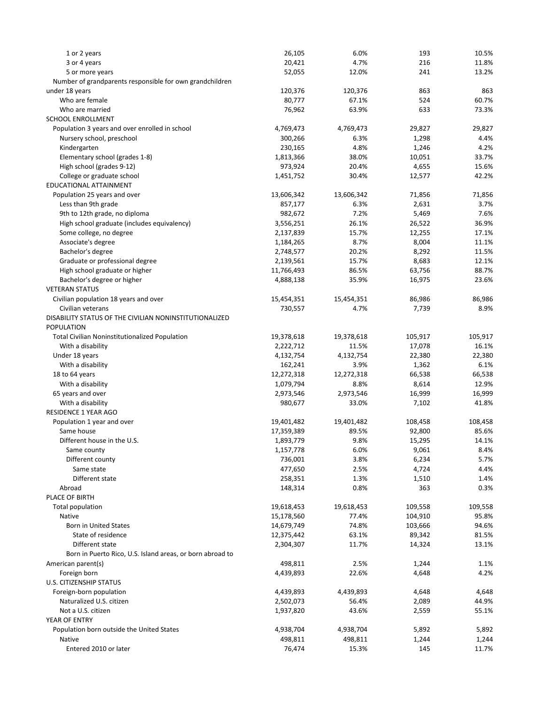| 1 or 2 years                                               | 26,105     | 6.0%               | 193     | 10.5%          |
|------------------------------------------------------------|------------|--------------------|---------|----------------|
| 3 or 4 years                                               | 20,421     | 4.7%               | 216     | 11.8%          |
| 5 or more years                                            | 52,055     | 12.0%              | 241     | 13.2%          |
| Number of grandparents responsible for own grandchildren   |            |                    |         |                |
| under 18 years                                             | 120,376    | 120,376            | 863     | 863            |
| Who are female                                             | 80,777     | 67.1%              | 524     | 60.7%          |
| Who are married                                            | 76,962     | 63.9%              | 633     | 73.3%          |
| <b>SCHOOL ENROLLMENT</b>                                   |            |                    |         |                |
| Population 3 years and over enrolled in school             | 4,769,473  | 4,769,473          | 29,827  | 29,827         |
| Nursery school, preschool                                  | 300,266    | 6.3%               | 1,298   | 4.4%           |
| Kindergarten                                               | 230,165    | 4.8%               | 1,246   | 4.2%           |
| Elementary school (grades 1-8)                             | 1,813,366  | 38.0%              | 10,051  | 33.7%          |
| High school (grades 9-12)                                  | 973,924    | 20.4%              | 4,655   | 15.6%          |
| College or graduate school                                 | 1,451,752  | 30.4%              | 12,577  | 42.2%          |
| EDUCATIONAL ATTAINMENT                                     |            |                    |         |                |
| Population 25 years and over                               | 13,606,342 | 13,606,342         | 71,856  | 71,856         |
| Less than 9th grade                                        | 857,177    | 6.3%               | 2,631   | 3.7%           |
| 9th to 12th grade, no diploma                              | 982,672    | 7.2%               | 5,469   | 7.6%           |
| High school graduate (includes equivalency)                | 3,556,251  | 26.1%              | 26,522  | 36.9%          |
| Some college, no degree                                    | 2,137,839  | 15.7%              | 12,255  | 17.1%          |
| Associate's degree                                         | 1,184,265  | 8.7%               | 8,004   | 11.1%          |
| Bachelor's degree                                          | 2,748,577  | 20.2%              | 8,292   | 11.5%          |
| Graduate or professional degree                            | 2,139,561  | 15.7%              | 8,683   | 12.1%          |
| High school graduate or higher                             | 11,766,493 | 86.5%              | 63,756  | 88.7%          |
| Bachelor's degree or higher                                | 4,888,138  | 35.9%              | 16,975  | 23.6%          |
| <b>VETERAN STATUS</b>                                      |            |                    |         |                |
|                                                            |            |                    |         |                |
| Civilian population 18 years and over<br>Civilian veterans | 15,454,351 | 15,454,351<br>4.7% | 86,986  | 86,986<br>8.9% |
| DISABILITY STATUS OF THE CIVILIAN NONINSTITUTIONALIZED     | 730,557    |                    | 7,739   |                |
| <b>POPULATION</b>                                          |            |                    |         |                |
|                                                            |            |                    |         |                |
| <b>Total Civilian Noninstitutionalized Population</b>      | 19,378,618 | 19,378,618         | 105,917 | 105,917        |
| With a disability                                          | 2,222,712  | 11.5%              | 17,078  | 16.1%          |
| Under 18 years                                             | 4,132,754  | 4,132,754          | 22,380  | 22,380         |
| With a disability                                          | 162,241    | 3.9%               | 1,362   | 6.1%           |
| 18 to 64 years                                             | 12,272,318 | 12,272,318         | 66,538  | 66,538         |
| With a disability                                          | 1,079,794  | 8.8%               | 8,614   | 12.9%          |
| 65 years and over                                          | 2,973,546  | 2,973,546          | 16,999  | 16,999         |
| With a disability                                          | 980,677    | 33.0%              | 7,102   | 41.8%          |
| RESIDENCE 1 YEAR AGO                                       |            |                    |         |                |
| Population 1 year and over                                 | 19,401,482 | 19,401,482         | 108,458 | 108,458        |
| Same house                                                 | 17,359,389 | 89.5%              | 92,800  | 85.6%          |
| Different house in the U.S.                                | 1,893,779  | 9.8%               | 15,295  | 14.1%          |
| Same county                                                | 1,157,778  | 6.0%               | 9,061   | 8.4%           |
| Different county                                           | 736,001    | 3.8%               | 6,234   | 5.7%           |
| Same state                                                 | 477,650    | 2.5%               | 4,724   | 4.4%           |
| Different state                                            | 258,351    | 1.3%               | 1,510   | 1.4%           |
| Abroad                                                     | 148,314    | 0.8%               | 363     | 0.3%           |
| PLACE OF BIRTH                                             |            |                    |         |                |
| Total population                                           | 19,618,453 | 19,618,453         | 109,558 | 109,558        |
| Native                                                     | 15,178,560 | 77.4%              | 104,910 | 95.8%          |
| <b>Born in United States</b>                               | 14,679,749 | 74.8%              | 103,666 | 94.6%          |
| State of residence                                         | 12,375,442 | 63.1%              | 89,342  | 81.5%          |
| Different state                                            | 2,304,307  | 11.7%              | 14,324  | 13.1%          |
| Born in Puerto Rico, U.S. Island areas, or born abroad to  |            |                    |         |                |
| American parent(s)                                         | 498,811    | 2.5%               | 1,244   | 1.1%           |
| Foreign born                                               | 4,439,893  | 22.6%              | 4,648   | 4.2%           |
| U.S. CITIZENSHIP STATUS                                    |            |                    |         |                |
| Foreign-born population                                    | 4,439,893  | 4,439,893          | 4,648   | 4,648          |
| Naturalized U.S. citizen                                   | 2,502,073  | 56.4%              | 2,089   | 44.9%          |
| Not a U.S. citizen                                         | 1,937,820  | 43.6%              | 2,559   | 55.1%          |
| YEAR OF ENTRY                                              |            |                    |         |                |
| Population born outside the United States                  | 4,938,704  | 4,938,704          | 5,892   | 5,892          |
| Native                                                     | 498,811    | 498,811            | 1,244   | 1,244          |
| Entered 2010 or later                                      | 76,474     | 15.3%              | 145     | 11.7%          |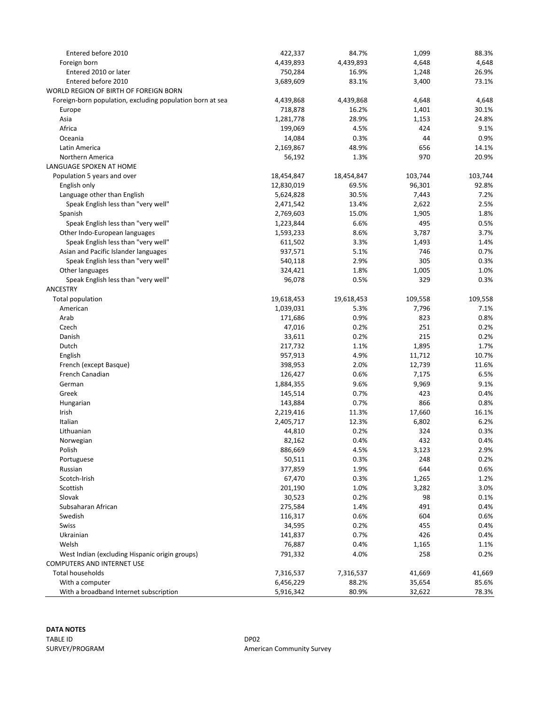| Entered before 2010                                       | 422,337    | 84.7%      | 1,099   | 88.3%   |
|-----------------------------------------------------------|------------|------------|---------|---------|
| Foreign born                                              | 4,439,893  | 4,439,893  | 4,648   | 4,648   |
| Entered 2010 or later                                     | 750,284    | 16.9%      | 1,248   | 26.9%   |
| Entered before 2010                                       | 3,689,609  | 83.1%      | 3,400   | 73.1%   |
| WORLD REGION OF BIRTH OF FOREIGN BORN                     |            |            |         |         |
| Foreign-born population, excluding population born at sea | 4,439,868  | 4,439,868  | 4,648   | 4,648   |
| Europe                                                    | 718,878    | 16.2%      | 1,401   | 30.1%   |
| Asia                                                      | 1,281,778  | 28.9%      | 1,153   | 24.8%   |
| Africa                                                    | 199,069    | 4.5%       | 424     | 9.1%    |
| Oceania                                                   | 14,084     | 0.3%       | 44      | 0.9%    |
| Latin America                                             | 2,169,867  | 48.9%      | 656     | 14.1%   |
| Northern America                                          | 56,192     | 1.3%       | 970     | 20.9%   |
| LANGUAGE SPOKEN AT HOME                                   |            |            |         |         |
| Population 5 years and over                               | 18,454,847 | 18,454,847 | 103,744 | 103,744 |
| English only                                              | 12,830,019 | 69.5%      | 96,301  | 92.8%   |
| Language other than English                               | 5,624,828  | 30.5%      | 7,443   | 7.2%    |
| Speak English less than "very well"                       | 2,471,542  | 13.4%      | 2,622   | 2.5%    |
| Spanish                                                   | 2,769,603  | 15.0%      | 1,905   | 1.8%    |
| Speak English less than "very well"                       | 1,223,844  | 6.6%       | 495     | 0.5%    |
| Other Indo-European languages                             | 1,593,233  | 8.6%       | 3,787   | 3.7%    |
| Speak English less than "very well"                       | 611,502    | 3.3%       | 1,493   | 1.4%    |
| Asian and Pacific Islander languages                      | 937,571    | 5.1%       | 746     | 0.7%    |
| Speak English less than "very well"                       | 540,118    | 2.9%       | 305     | 0.3%    |
| Other languages                                           | 324,421    | 1.8%       | 1,005   | 1.0%    |
| Speak English less than "very well"                       | 96,078     | 0.5%       | 329     | 0.3%    |
| ANCESTRY                                                  |            |            |         |         |
| <b>Total population</b>                                   | 19,618,453 | 19,618,453 | 109,558 | 109,558 |
| American                                                  | 1,039,031  | 5.3%       | 7,796   | 7.1%    |
| Arab                                                      | 171,686    | 0.9%       | 823     | 0.8%    |
| Czech                                                     | 47,016     | 0.2%       | 251     | 0.2%    |
| Danish                                                    | 33,611     | 0.2%       | 215     | 0.2%    |
| Dutch                                                     | 217,732    | 1.1%       | 1,895   | 1.7%    |
| English                                                   | 957,913    | 4.9%       | 11,712  | 10.7%   |
| French (except Basque)                                    | 398,953    | 2.0%       | 12,739  | 11.6%   |
| French Canadian                                           | 126,427    | 0.6%       | 7,175   | 6.5%    |
| German                                                    | 1,884,355  | 9.6%       | 9,969   | 9.1%    |
| Greek                                                     | 145,514    | 0.7%       | 423     | 0.4%    |
| Hungarian                                                 | 143,884    | 0.7%       | 866     | 0.8%    |
| Irish                                                     | 2,219,416  | 11.3%      | 17,660  | 16.1%   |
| Italian                                                   | 2,405,717  | 12.3%      | 6,802   | 6.2%    |
| Lithuanian                                                | 44,810     | 0.2%       | 324     | 0.3%    |
| Norwegian                                                 | 82,162     | 0.4%       | 432     | 0.4%    |
| Polish                                                    | 886,669    | 4.5%       | 3,123   | 2.9%    |
| Portuguese                                                | 50,511     | 0.3%       | 248     | 0.2%    |
| Russian                                                   | 377,859    | 1.9%       | 644     | 0.6%    |
| Scotch-Irish                                              | 67,470     | 0.3%       | 1,265   | 1.2%    |
| Scottish                                                  | 201,190    | 1.0%       | 3,282   | 3.0%    |
| Slovak                                                    | 30,523     | 0.2%       | 98      | 0.1%    |
| Subsaharan African                                        | 275,584    | 1.4%       | 491     | 0.4%    |
| Swedish                                                   | 116,317    | 0.6%       | 604     | 0.6%    |
| Swiss                                                     | 34,595     | 0.2%       | 455     | 0.4%    |
| Ukrainian                                                 | 141,837    | 0.7%       | 426     | 0.4%    |
| Welsh                                                     | 76,887     | 0.4%       | 1,165   | 1.1%    |
| West Indian (excluding Hispanic origin groups)            | 791,332    | 4.0%       | 258     | 0.2%    |
| <b>COMPUTERS AND INTERNET USE</b>                         |            |            |         |         |
| Total households                                          | 7,316,537  | 7,316,537  | 41,669  | 41,669  |
| With a computer                                           | 6,456,229  | 88.2%      | 35,654  | 85.6%   |
| With a broadband Internet subscription                    | 5,916,342  | 80.9%      | 32,622  | 78.3%   |

# **DATA NOTES** TABLE ID DP02

SURVEY/PROGRAM **American Community Survey**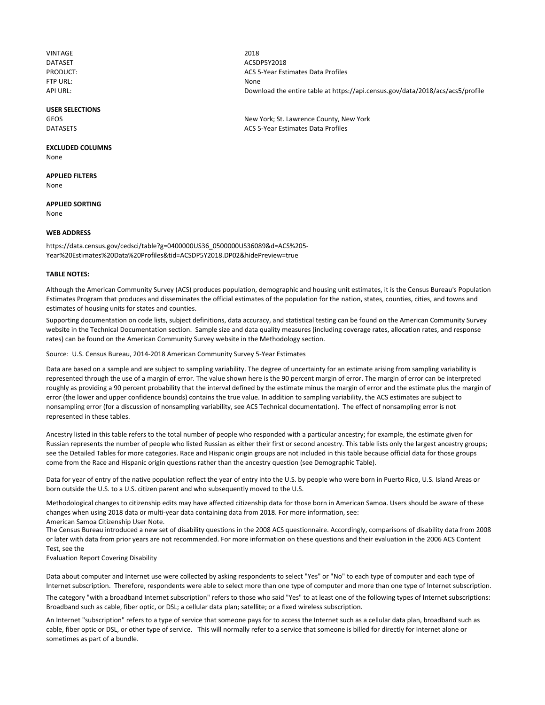VINTAGE 2018 FTP URL: None

#### **USER SELECTIONS**

## **EXCLUDED COLUMNS**

None

**APPLIED FILTERS** None

**APPLIED SORTING** None

#### **WEB ADDRESS**

https://data.census.gov/cedsci/table?g=0400000US36\_0500000US36089&d=ACS%205‐ Year%20Estimates%20Data%20Profiles&tid=ACSDP5Y2018.DP02&hidePreview=true

#### **TABLE NOTES:**

Although the American Community Survey (ACS) produces population, demographic and housing unit estimates, it is the Census Bureau's Population Estimates Program that produces and disseminates the official estimates of the population for the nation, states, counties, cities, and towns and estimates of housing units for states and counties.

Supporting documentation on code lists, subject definitions, data accuracy, and statistical testing can be found on the American Community Survey website in the Technical Documentation section. Sample size and data quality measures (including coverage rates, allocation rates, and response rates) can be found on the American Community Survey website in the Methodology section.

Source: U.S. Census Bureau, 2014‐2018 American Community Survey 5‐Year Estimates

Data are based on a sample and are subject to sampling variability. The degree of uncertainty for an estimate arising from sampling variability is represented through the use of a margin of error. The value shown here is the 90 percent margin of error. The margin of error can be interpreted roughly as providing a 90 percent probability that the interval defined by the estimate minus the margin of error and the estimate plus the margin of error (the lower and upper confidence bounds) contains the true value. In addition to sampling variability, the ACS estimates are subject to nonsampling error (for a discussion of nonsampling variability, see ACS Technical documentation). The effect of nonsampling error is not represented in these tables.

Ancestry listed in this table refers to the total number of people who responded with a particular ancestry; for example, the estimate given for Russian represents the number of people who listed Russian as either their first or second ancestry. This table lists only the largest ancestry groups; see the Detailed Tables for more categories. Race and Hispanic origin groups are not included in this table because official data for those groups come from the Race and Hispanic origin questions rather than the ancestry question (see Demographic Table).

Data for year of entry of the native population reflect the year of entry into the U.S. by people who were born in Puerto Rico, U.S. Island Areas or born outside the U.S. to a U.S. citizen parent and who subsequently moved to the U.S.

Methodological changes to citizenship edits may have affected citizenship data for those born in American Samoa. Users should be aware of these changes when using 2018 data or multi-year data containing data from 2018. For more information, see: American Samoa Citizenship User Note.

The Census Bureau introduced a new set of disability questions in the 2008 ACS questionnaire. Accordingly, comparisons of disability data from 2008 or later with data from prior years are not recommended. For more information on these questions and their evaluation in the 2006 ACS Content Test, see the

Evaluation Report Covering Disability

Data about computer and Internet use were collected by asking respondents to select "Yes" or "No" to each type of computer and each type of Internet subscription. Therefore, respondents were able to select more than one type of computer and more than one type of Internet subscription.

The category "with a broadband Internet subscription" refers to those who said "Yes" to at least one of the following types of Internet subscriptions: Broadband such as cable, fiber optic, or DSL; a cellular data plan; satellite; or a fixed wireless subscription.

An Internet "subscription" refers to a type of service that someone pays for to access the Internet such as a cellular data plan, broadband such as cable, fiber optic or DSL, or other type of service. This will normally refer to a service that someone is billed for directly for Internet alone or sometimes as part of a bundle.

DATASET ACSDP5Y2018 PRODUCT: ACS 5‐Year Estimates Data Profiles API URL: entire table at https://api.census.gov/data/2018/acs/acs5/profile

GEOS GEOS **GEOS New York; St. Lawrence County, New York** DATASETS ACS 5‐Year Estimates Data Profiles